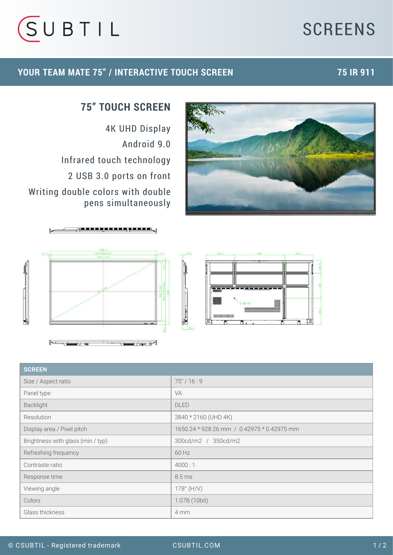# **SCREENS**



### **YOUR TEAM MATE 75" / INTERACTIVE TOUCH SCREEN 75 IR 911**



## **75" TOUCH SCREEN**

4K UHD Display Android 9.0 Infrared touch technology 2 USB 3.0 ports on front Writing double colors with double pens simultaneously





| <b>SCREEN</b>                     |                                            |
|-----------------------------------|--------------------------------------------|
| Size / Aspect ratio               | 75''/16:9                                  |
| Panel type                        | <b>VA</b>                                  |
| Backlight                         | <b>DLED</b>                                |
| Resolution                        | 3840 * 2160 (UHD 4K)                       |
| Display area / Pixel pitch        | 1650.24 * 928.26 mm / 0.42975 * 0.42975 mm |
| Brightness with glass (min / typ) | 300cd/m2 / 350cd/m2                        |
| Refreshing frequency              | 60 Hz                                      |
| Contraste ratio                   | 4000:1                                     |
| Response time                     | 8.5 ms                                     |
| Viewing angle                     | $178^{\circ}$ (H/V)                        |
| Colors                            | 1.07B (10bit)                              |
| Glass thickness                   | 4 mm                                       |